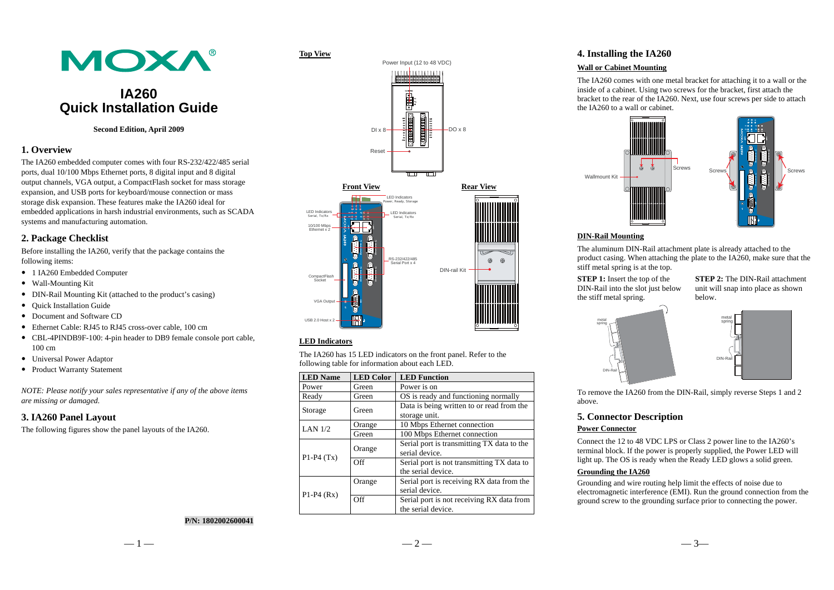# **MOXA®**

## **IA260 Quick Installation Guide**

#### **Second Edition, April 2009**

## **1. Overview**

The IA260 embedded computer comes with four RS-232/422/485 serial ports, dual 10/100 Mbps Ethernet ports, 8 digital input and 8 digital output channels, VGA output, a CompactFlash socket for mass storage expansion, and USB ports for keyboard/mouse connection or mass storage disk expansion. These features make the IA260 ideal for embedded applications in harsh industrial environments, such as SCADA systems and manufacturing automation.

#### **2. Package Checklist**

Before installing the IA260, verify that the package contains the following items:

- 1 IA260 Embedded Computer
- Wall-Mounting Kit
- DIN-Rail Mounting Kit (attached to the product's casing)
- Quick Installation Guide
- Document and Software CD
- Ethernet Cable: RJ45 to RJ45 cross-over cable, 100 cm
- CBL-4PINDB9F-100: 4-pin header to DB9 female console port cable, 100 cm
- Universal Power Adaptor
- Product Warranty Statement

*NOTE: Please notify your sales representative if any of the above items are missing or damaged.* 

## **3. IA260 Panel Layout**

The following figures show the panel layouts of the IA260.





#### **LED Indicators**

The IA260 has 15 LED indicators on the front panel. Refer to the following table for information about each LED.

| <b>LED Name</b> | <b>LED</b> Color | <b>LED Function</b>                        |  |
|-----------------|------------------|--------------------------------------------|--|
| Power           | Green            | Power is on                                |  |
| Ready           | Green            | OS is ready and functioning normally       |  |
| Storage         | Green            | Data is being written to or read from the  |  |
|                 |                  | storage unit.                              |  |
| LAN $1/2$       | Orange           | 10 Mbps Ethernet connection                |  |
|                 | Green            | 100 Mbps Ethernet connection               |  |
| $P1-P4(Tx)$     | Orange           | Serial port is transmitting TX data to the |  |
|                 |                  | serial device.                             |  |
|                 | Off              | Serial port is not transmitting TX data to |  |
|                 |                  | the serial device.                         |  |
|                 | Orange           | Serial port is receiving RX data from the  |  |
| $P1-P4(Rx)$     |                  | serial device.                             |  |
|                 | Off              | Serial port is not receiving RX data from  |  |
|                 |                  | the serial device.                         |  |

## **4. Installing the IA260**

#### **Wall or Cabinet Mounting**

The IA260 comes with one metal bracket for attaching it to a wall or the inside of a cabinet. Using two screws for the bracket, first attach the bracket to the rear of the IA260. Next, use four screws per side to attach the IA260 to a wall or cabinet.



## **DIN-Rail Mounting**

The aluminum DIN-Rail attachment plate is already attached to the product casing. When attaching the plate to the IA260, make sure that the stiff metal spring is at the top.

**STEP 1:** Insert the top of the DIN-Rail into the slot just below the stiff metal spring.

**STEP 2:** The DIN-Rail attachment unit will snap into place as shown below.





To remove the IA260 from the DIN-Rail, simply reverse Steps 1 and 2 above.

## **5. Connector Description**

#### **Power Connector**

Connect the 12 to 48 VDC LPS or Class 2 power line to the IA260's terminal block. If the power is properly supplied, the Power LED will light up. The OS is ready when the Ready LED glows a solid green.

#### **Grounding the IA260**

Grounding and wire routing help limit the effects of noise due to electromagnetic interference (EMI). Run the ground connection from the ground screw to the grounding surface prior to connecting the power.

#### **P/N: 1802002600041**